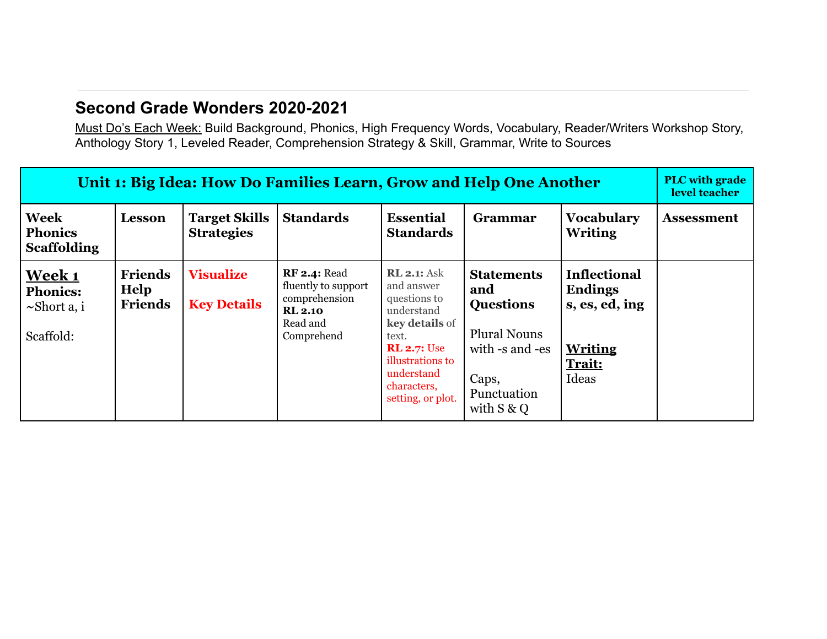# **Second Grade Wonders 2020-2021**

Must Do's Each Week: Build Background, Phonics, High Frequency Words, Vocabulary, Reader/Writers Workshop Story, Anthology Story 1, Leveled Reader, Comprehension Strategy & Skill, Grammar, Write to Sources

| Unit 1: Big Idea: How Do Families Learn, Grow and Help One Another |                                          |                                           |                                                                                                         |                                                                                                                                                                                              |                                                                                                                                 |                                                                                              |                   |  |
|--------------------------------------------------------------------|------------------------------------------|-------------------------------------------|---------------------------------------------------------------------------------------------------------|----------------------------------------------------------------------------------------------------------------------------------------------------------------------------------------------|---------------------------------------------------------------------------------------------------------------------------------|----------------------------------------------------------------------------------------------|-------------------|--|
| <b>Week</b><br><b>Phonics</b><br><b>Scaffolding</b>                | Lesson                                   | <b>Target Skills</b><br><b>Strategies</b> | <b>Standards</b>                                                                                        | <b>Essential</b><br><b>Standards</b>                                                                                                                                                         | Grammar                                                                                                                         | <b>Vocabulary</b><br><b>Writing</b>                                                          | <b>Assessment</b> |  |
| <u>Week 1</u><br><b>Phonics:</b><br>$\sim$ Short a, i<br>Scaffold: | <b>Friends</b><br>Help<br><b>Friends</b> | <b>Visualize</b><br><b>Key Details</b>    | <b>RF 2.4: Read</b><br>fluently to support<br>comprehension<br><b>RL 2.10</b><br>Read and<br>Comprehend | <b>RL 2.1:</b> Ask<br>and answer<br>questions to<br>understand<br><b>key details</b> of<br>text.<br><b>RL 2.7: Use</b><br>illustrations to<br>understand<br>characters,<br>setting, or plot. | <b>Statements</b><br>and<br><b>Questions</b><br><b>Plural Nouns</b><br>with -s and -es<br>Caps,<br>Punctuation<br>with $S \& Q$ | <b>Inflectional</b><br><b>Endings</b><br>s, es, ed, ing<br><b>Writing</b><br>Trait:<br>Ideas |                   |  |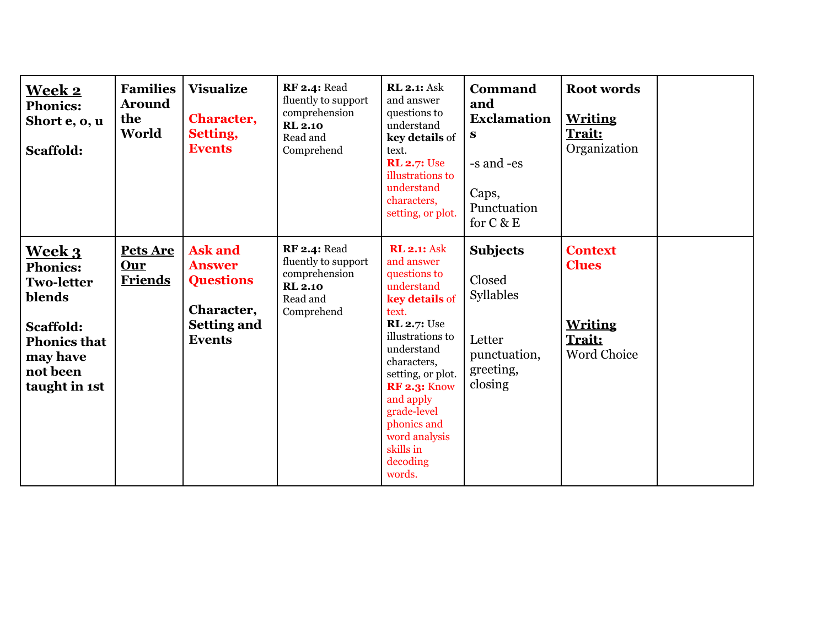| <b>Week 2</b><br><b>Phonics:</b><br>Short e, o, u<br>Scaffold:                                                                        | <b>Families</b><br><b>Around</b><br>the<br>World | <b>Visualize</b><br><b>Character,</b><br>Setting,<br><b>Events</b>                                       | <b>RF 2.4: Read</b><br>fluently to support<br>comprehension<br><b>RL 2.10</b><br>Read and<br>Comprehend | <b>RL 2.1: Ask</b><br>and answer<br>questions to<br>understand<br>key details of<br>text.<br><b>RL 2.7: Use</b><br>illustrations to<br>understand<br>characters,<br>setting, or plot.                                                                                                                       | <b>Command</b><br>and<br><b>Exclamation</b><br>S<br>-s and -es<br>Caps,<br>Punctuation<br>for $C & E$ | <b>Root words</b><br><b>Writing</b><br>Trait:<br>Organization                    |  |
|---------------------------------------------------------------------------------------------------------------------------------------|--------------------------------------------------|----------------------------------------------------------------------------------------------------------|---------------------------------------------------------------------------------------------------------|-------------------------------------------------------------------------------------------------------------------------------------------------------------------------------------------------------------------------------------------------------------------------------------------------------------|-------------------------------------------------------------------------------------------------------|----------------------------------------------------------------------------------|--|
| Week 3<br><b>Phonics:</b><br><b>Two-letter</b><br>blends<br>Scaffold:<br><b>Phonics that</b><br>may have<br>not been<br>taught in 1st | Pets Are<br><b>Our</b><br><b>Friends</b>         | <b>Ask and</b><br><b>Answer</b><br><b>Questions</b><br>Character,<br><b>Setting and</b><br><b>Events</b> | <b>RF 2.4: Read</b><br>fluently to support<br>comprehension<br><b>RL 2.10</b><br>Read and<br>Comprehend | <b>RL 2.1: Ask</b><br>and answer<br>questions to<br>understand<br>key details of<br>text.<br><b>RL 2.7: Use</b><br>illustrations to<br>understand<br>characters,<br>setting, or plot.<br><b>RF 2.3: Know</b><br>and apply<br>grade-level<br>phonics and<br>word analysis<br>skills in<br>decoding<br>words. | <b>Subjects</b><br>Closed<br>Syllables<br>Letter<br>punctuation,<br>greeting,<br>closing              | <b>Context</b><br><b>Clues</b><br><b>Writing</b><br>Trait:<br><b>Word Choice</b> |  |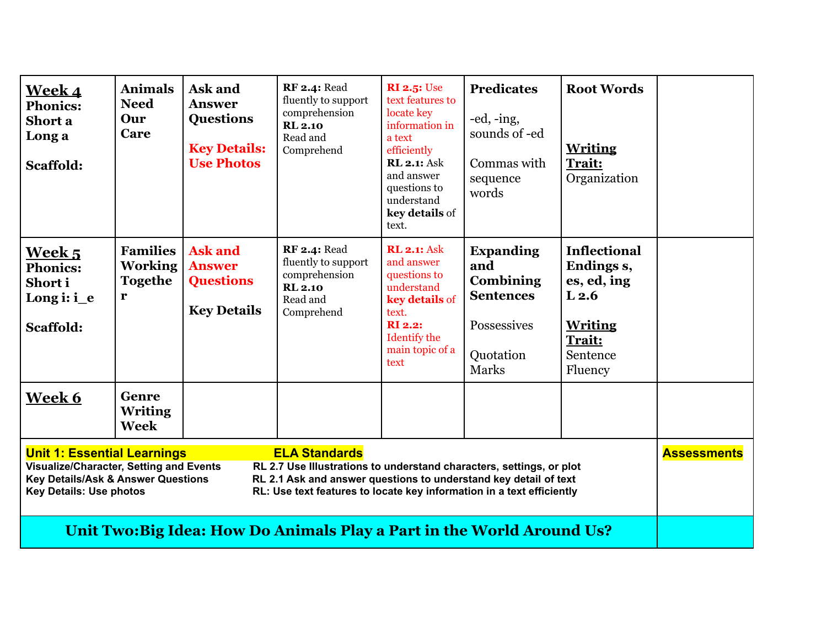| <u>Week 4</u><br><b>Phonics:</b><br>Short a<br>Long a<br>Scaffold:                                                                                                                                                                                                                                                                                                                                                                  | <b>Animals</b><br><b>Need</b><br>Our<br>Care             | Ask and<br><b>Answer</b><br><b>Questions</b><br><b>Key Details:</b><br><b>Use Photos</b> | <b>RF 2.4: Read</b><br>fluently to support<br>comprehension<br><b>RL 2.10</b><br>Read and<br>Comprehend | <b>RI 2.5: Use</b><br>text features to<br>locate key<br>information in<br>a text<br>efficiently<br><b>RL 2.1: Ask</b><br>and answer<br>questions to<br>understand<br>key details of<br>text. | <b>Predicates</b><br>$-ed$ , $-ing$ ,<br>sounds of -ed<br>Commas with<br>sequence<br>words    | <b>Root Words</b><br><b>Writing</b><br>Trait:<br>Organization                                                           |  |  |
|-------------------------------------------------------------------------------------------------------------------------------------------------------------------------------------------------------------------------------------------------------------------------------------------------------------------------------------------------------------------------------------------------------------------------------------|----------------------------------------------------------|------------------------------------------------------------------------------------------|---------------------------------------------------------------------------------------------------------|----------------------------------------------------------------------------------------------------------------------------------------------------------------------------------------------|-----------------------------------------------------------------------------------------------|-------------------------------------------------------------------------------------------------------------------------|--|--|
| <b>Week 5</b><br><b>Phonics:</b><br>Short i<br>Long $\mathbf{i}$ : $\mathbf{i}$ e<br>Scaffold:                                                                                                                                                                                                                                                                                                                                      | <b>Families</b><br><b>Working</b><br><b>Togethe</b><br>r | <b>Ask and</b><br><b>Answer</b><br><b>Questions</b><br><b>Key Details</b>                | <b>RF 2.4: Read</b><br>fluently to support<br>comprehension<br><b>RL 2.10</b><br>Read and<br>Comprehend | <b>RL 2.1: Ask</b><br>and answer<br>questions to<br>understand<br>key details of<br>text.<br><b>RI</b> 2.2:<br>Identify the<br>main topic of a<br>text                                       | <b>Expanding</b><br>and<br>Combining<br><b>Sentences</b><br>Possessives<br>Quotation<br>Marks | <b>Inflectional</b><br>Endings s,<br>es, ed, ing<br>L <sub>2.6</sub><br><b>Writing</b><br>Trait:<br>Sentence<br>Fluency |  |  |
| Week 6                                                                                                                                                                                                                                                                                                                                                                                                                              | Genre<br><b>Writing</b><br><b>Week</b>                   |                                                                                          |                                                                                                         |                                                                                                                                                                                              |                                                                                               |                                                                                                                         |  |  |
| <b>Unit 1: Essential Learnings</b><br><b>ELA Standards</b><br><b>Assessments</b><br>Visualize/Character, Setting and Events<br>RL 2.7 Use Illustrations to understand characters, settings, or plot<br><b>Key Details/Ask &amp; Answer Questions</b><br>RL 2.1 Ask and answer questions to understand key detail of text<br><b>Key Details: Use photos</b><br>RL: Use text features to locate key information in a text efficiently |                                                          |                                                                                          |                                                                                                         |                                                                                                                                                                                              |                                                                                               |                                                                                                                         |  |  |
| Unit Two: Big Idea: How Do Animals Play a Part in the World Around Us?                                                                                                                                                                                                                                                                                                                                                              |                                                          |                                                                                          |                                                                                                         |                                                                                                                                                                                              |                                                                                               |                                                                                                                         |  |  |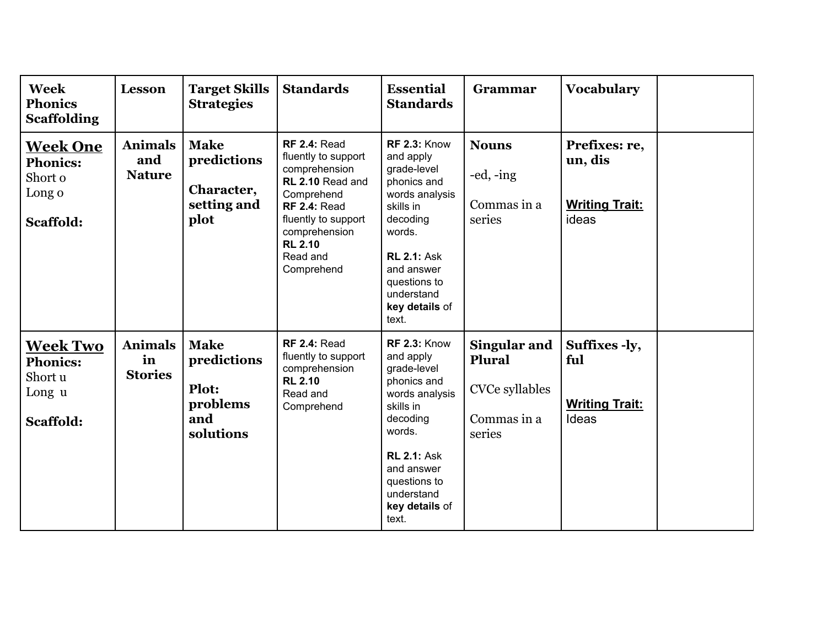| <b>Week</b><br><b>Phonics</b><br><b>Scaffolding</b>                  | <b>Lesson</b>                          | <b>Target Skills</b><br><b>Strategies</b>                           | <b>Standards</b>                                                                                                                                                                                         | <b>Essential</b><br><b>Standards</b>                                                                                                                                                                             | Grammar                                                                  | <b>Vocabulary</b>                                          |  |
|----------------------------------------------------------------------|----------------------------------------|---------------------------------------------------------------------|----------------------------------------------------------------------------------------------------------------------------------------------------------------------------------------------------------|------------------------------------------------------------------------------------------------------------------------------------------------------------------------------------------------------------------|--------------------------------------------------------------------------|------------------------------------------------------------|--|
| <u>Week One</u><br><b>Phonics:</b><br>Short o<br>Long o<br>Scaffold: | <b>Animals</b><br>and<br><b>Nature</b> | <b>Make</b><br>predictions<br>Character,<br>setting and<br>plot     | <b>RF 2.4: Read</b><br>fluently to support<br>comprehension<br>RL 2.10 Read and<br>Comprehend<br><b>RF 2.4: Read</b><br>fluently to support<br>comprehension<br><b>RL 2.10</b><br>Read and<br>Comprehend | <b>RF 2.3: Know</b><br>and apply<br>grade-level<br>phonics and<br>words analysis<br>skills in<br>decoding<br>words.<br><b>RL 2.1: Ask</b><br>and answer<br>questions to<br>understand<br>key details of<br>text. | <b>Nouns</b><br>-ed, -ing<br>Commas in a<br>series                       | Prefixes: re,<br>un, dis<br><b>Writing Trait:</b><br>ideas |  |
| <b>Week Two</b><br><b>Phonics:</b><br>Short u<br>Long u<br>Scaffold: | <b>Animals</b><br>in<br><b>Stories</b> | <b>Make</b><br>predictions<br>Plot:<br>problems<br>and<br>solutions | <b>RF 2.4: Read</b><br>fluently to support<br>comprehension<br><b>RL 2.10</b><br>Read and<br>Comprehend                                                                                                  | <b>RF 2.3: Know</b><br>and apply<br>grade-level<br>phonics and<br>words analysis<br>skills in<br>decoding<br>words.<br><b>RL 2.1: Ask</b><br>and answer<br>questions to<br>understand<br>key details of<br>text. | Singular and<br>Plural<br><b>CVCe syllables</b><br>Commas in a<br>series | Suffixes -ly,<br>ful<br><b>Writing Trait:</b><br>Ideas     |  |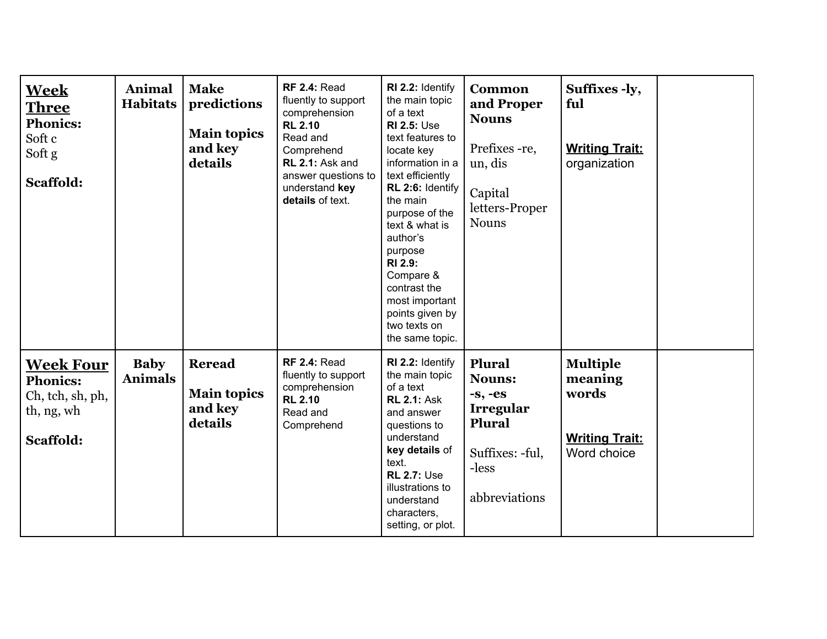| <b>Week</b><br><b>Three</b><br><b>Phonics:</b><br>Soft c<br>Soft g<br>Scaffold:    | Animal<br><b>Habitats</b>     | <b>Make</b><br>predictions<br><b>Main topics</b><br>and key<br>details | <b>RF 2.4: Read</b><br>fluently to support<br>comprehension<br><b>RL 2.10</b><br>Read and<br>Comprehend<br>RL 2.1: Ask and<br>answer questions to<br>understand key<br>details of text. | RI 2.2: Identify<br>the main topic<br>of a text<br><b>RI 2.5: Use</b><br>text features to<br>locate key<br>information in a<br>text efficiently<br>RL 2:6: Identify<br>the main<br>purpose of the<br>text & what is<br>author's<br>purpose<br>RI 2.9:<br>Compare &<br>contrast the<br>most important<br>points given by<br>two texts on<br>the same topic. | <b>Common</b><br>and Proper<br><b>Nouns</b><br>Prefixes - re,<br>un, dis<br>Capital<br>letters-Proper<br><b>Nouns</b>  | Suffixes -ly,<br>ful<br><b>Writing Trait:</b><br>organization               |  |
|------------------------------------------------------------------------------------|-------------------------------|------------------------------------------------------------------------|-----------------------------------------------------------------------------------------------------------------------------------------------------------------------------------------|------------------------------------------------------------------------------------------------------------------------------------------------------------------------------------------------------------------------------------------------------------------------------------------------------------------------------------------------------------|------------------------------------------------------------------------------------------------------------------------|-----------------------------------------------------------------------------|--|
| <b>Week Four</b><br><b>Phonics:</b><br>Ch, tch, sh, ph,<br>th, ng, wh<br>Scaffold: | <b>Baby</b><br><b>Animals</b> | <b>Reread</b><br><b>Main topics</b><br>and key<br>details              | <b>RF 2.4: Read</b><br>fluently to support<br>comprehension<br><b>RL 2.10</b><br>Read and<br>Comprehend                                                                                 | RI 2.2: Identify<br>the main topic<br>of a text<br><b>RL 2.1: Ask</b><br>and answer<br>questions to<br>understand<br>key details of<br>text.<br><b>RL 2.7: Use</b><br>illustrations to<br>understand<br>characters,<br>setting, or plot.                                                                                                                   | Plural<br><b>Nouns:</b><br>$-s, -es$<br><b>Irregular</b><br><b>Plural</b><br>Suffixes: -ful,<br>-less<br>abbreviations | <b>Multiple</b><br>meaning<br>words<br><b>Writing Trait:</b><br>Word choice |  |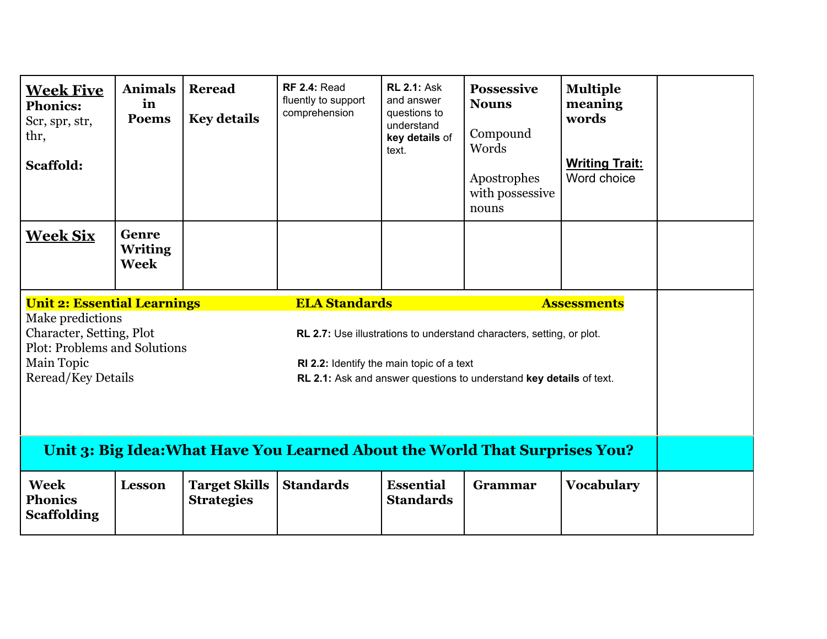| <b>Week Five</b><br><b>Phonics:</b><br>Scr, spr, str,<br>thr,<br>Scaffold:                                                                                                                                                                                                                                                                                                                               | <b>Animals</b><br>in<br><b>Poems</b>   | <b>Reread</b><br><b>Key details</b>       | <b>RF 2.4: Read</b><br>fluently to support<br>comprehension                 | <b>RL 2.1: Ask</b><br>and answer<br>questions to<br>understand<br>key details of<br>text. | <b>Possessive</b><br><b>Nouns</b><br>Compound<br>Words<br>Apostrophes<br>with possessive<br>nouns | <b>Multiple</b><br>meaning<br>words<br><b>Writing Trait:</b><br>Word choice |  |  |
|----------------------------------------------------------------------------------------------------------------------------------------------------------------------------------------------------------------------------------------------------------------------------------------------------------------------------------------------------------------------------------------------------------|----------------------------------------|-------------------------------------------|-----------------------------------------------------------------------------|-------------------------------------------------------------------------------------------|---------------------------------------------------------------------------------------------------|-----------------------------------------------------------------------------|--|--|
| <b>Week Six</b>                                                                                                                                                                                                                                                                                                                                                                                          | Genre<br><b>Writing</b><br><b>Week</b> |                                           |                                                                             |                                                                                           |                                                                                                   |                                                                             |  |  |
| <b>ELA Standards</b><br><b>Unit 2: Essential Learnings</b><br><b>Assessments</b><br>Make predictions<br>Character, Setting, Plot<br>RL 2.7: Use illustrations to understand characters, setting, or plot.<br><b>Plot: Problems and Solutions</b><br>Main Topic<br>RI 2.2: Identify the main topic of a text<br>Reread/Key Details<br>RL 2.1: Ask and answer questions to understand key details of text. |                                        |                                           |                                                                             |                                                                                           |                                                                                                   |                                                                             |  |  |
|                                                                                                                                                                                                                                                                                                                                                                                                          |                                        |                                           | Unit 3: Big Idea: What Have You Learned About the World That Surprises You? |                                                                                           |                                                                                                   |                                                                             |  |  |
| <b>Week</b><br><b>Phonics</b><br><b>Scaffolding</b>                                                                                                                                                                                                                                                                                                                                                      | <b>Lesson</b>                          | <b>Target Skills</b><br><b>Strategies</b> | <b>Standards</b>                                                            | <b>Essential</b><br><b>Standards</b>                                                      | Grammar                                                                                           | <b>Vocabulary</b>                                                           |  |  |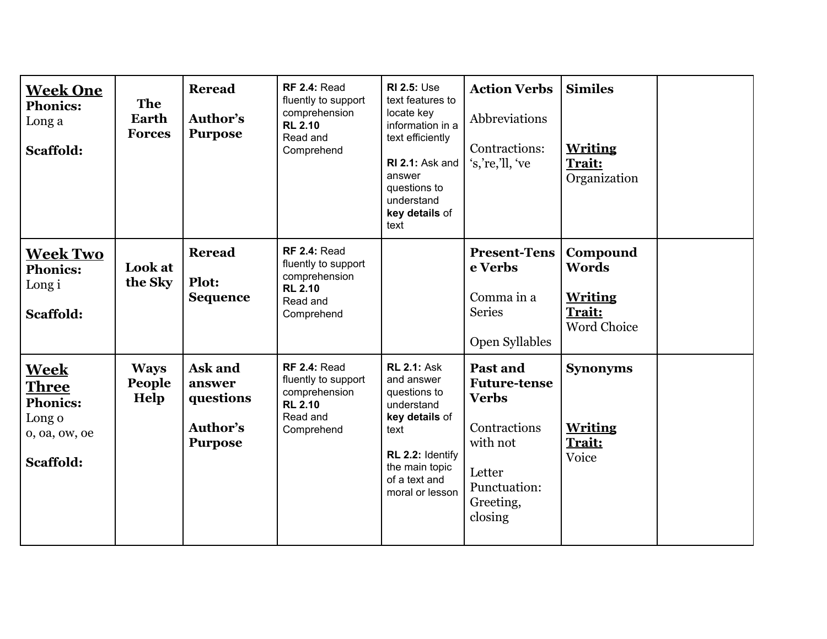| <u>Week One</u><br><b>Phonics:</b><br>Long a<br>Scaffold:                              | <b>The</b><br>Earth<br><b>Forces</b> | <b>Reread</b><br>Author's<br><b>Purpose</b>                  | <b>RF 2.4: Read</b><br>fluently to support<br>comprehension<br><b>RL 2.10</b><br>Read and<br>Comprehend | <b>RI 2.5: Use</b><br>text features to<br>locate key<br>information in a<br>text efficiently<br>RI 2.1: Ask and<br>answer<br>questions to<br>understand<br>key details of<br>text | <b>Action Verbs</b><br>Abbreviations<br>Contractions:<br>'s,'re,'ll, 've                                                      | <b>Similes</b><br><b>Writing</b><br>Trait:<br>Organization                 |  |
|----------------------------------------------------------------------------------------|--------------------------------------|--------------------------------------------------------------|---------------------------------------------------------------------------------------------------------|-----------------------------------------------------------------------------------------------------------------------------------------------------------------------------------|-------------------------------------------------------------------------------------------------------------------------------|----------------------------------------------------------------------------|--|
| <b>Week Two</b><br><b>Phonics:</b><br>Long i<br>Scaffold:                              | Look at<br>the Sky                   | <b>Reread</b><br><b>Plot:</b><br><b>Sequence</b>             | <b>RF 2.4: Read</b><br>fluently to support<br>comprehension<br><b>RL 2.10</b><br>Read and<br>Comprehend |                                                                                                                                                                                   | <b>Present-Tens</b><br>e Verbs<br>Comma in a<br><b>Series</b><br>Open Syllables                                               | Compound<br><b>Words</b><br><b>Writing</b><br>Trait:<br><b>Word Choice</b> |  |
| <b>Week</b><br><b>Three</b><br><b>Phonics:</b><br>Long o<br>o, oa, ow, oe<br>Scaffold: | <b>Ways</b><br>People<br>Help        | Ask and<br>answer<br>questions<br>Author's<br><b>Purpose</b> | <b>RF 2.4: Read</b><br>fluently to support<br>comprehension<br><b>RL 2.10</b><br>Read and<br>Comprehend | <b>RL 2.1: Ask</b><br>and answer<br>questions to<br>understand<br>key details of<br>text<br>RL 2.2: Identify<br>the main topic<br>of a text and<br>moral or lesson                | Past and<br><b>Future-tense</b><br><b>Verbs</b><br>Contractions<br>with not<br>Letter<br>Punctuation:<br>Greeting,<br>closing | <b>Synonyms</b><br><b>Writing</b><br>Trait:<br>Voice                       |  |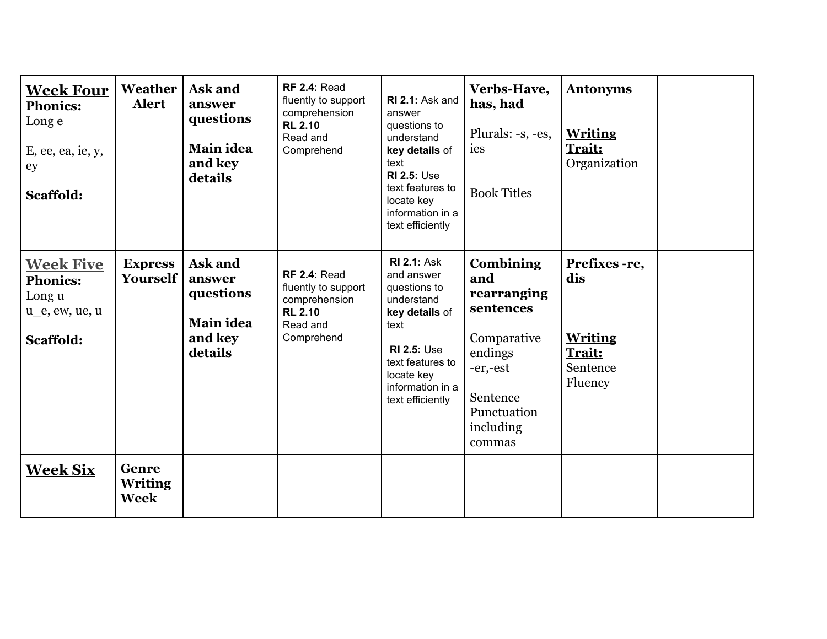| <b>Week Four</b><br><b>Phonics:</b><br>Long e<br>E, ee, ea, ie, y,<br>ey<br><b>Scaffold:</b>      | Weather<br><b>Alert</b>           | Ask and<br>answer<br>questions<br>Main idea<br>and key<br>details | <b>RF 2.4: Read</b><br>fluently to support<br>comprehension<br><b>RL 2.10</b><br>Read and<br>Comprehend | RI 2.1: Ask and<br>answer<br>questions to<br>understand<br>key details of<br>text<br><b>RI 2.5: Use</b><br>text features to<br>locate key<br>information in a<br>text efficiently        | Verbs-Have,<br>has, had<br>Plurals: -s, -es,<br>ies<br><b>Book Titles</b>                                                                   | <b>Antonyms</b><br><b>Writing</b><br>Trait:<br>Organization             |  |
|---------------------------------------------------------------------------------------------------|-----------------------------------|-------------------------------------------------------------------|---------------------------------------------------------------------------------------------------------|------------------------------------------------------------------------------------------------------------------------------------------------------------------------------------------|---------------------------------------------------------------------------------------------------------------------------------------------|-------------------------------------------------------------------------|--|
| <b>Week Five</b><br><b>Phonics:</b><br>Long u<br>u <sub>ll</sub> e, ew, ue, u<br><b>Scaffold:</b> | <b>Express</b><br><b>Yourself</b> | Ask and<br>answer<br>questions<br>Main idea<br>and key<br>details | <b>RF 2.4: Read</b><br>fluently to support<br>comprehension<br><b>RL 2.10</b><br>Read and<br>Comprehend | <b>RI 2.1: Ask</b><br>and answer<br>questions to<br>understand<br>key details of<br>text<br><b>RI 2.5: Use</b><br>text features to<br>locate key<br>information in a<br>text efficiently | <b>Combining</b><br>and<br>rearranging<br>sentences<br>Comparative<br>endings<br>-er,-est<br>Sentence<br>Punctuation<br>including<br>commas | Prefixes -re,<br>dis<br><b>Writing</b><br>Trait:<br>Sentence<br>Fluency |  |
| <b>Week Six</b>                                                                                   | Genre<br><b>Writing</b><br>Week   |                                                                   |                                                                                                         |                                                                                                                                                                                          |                                                                                                                                             |                                                                         |  |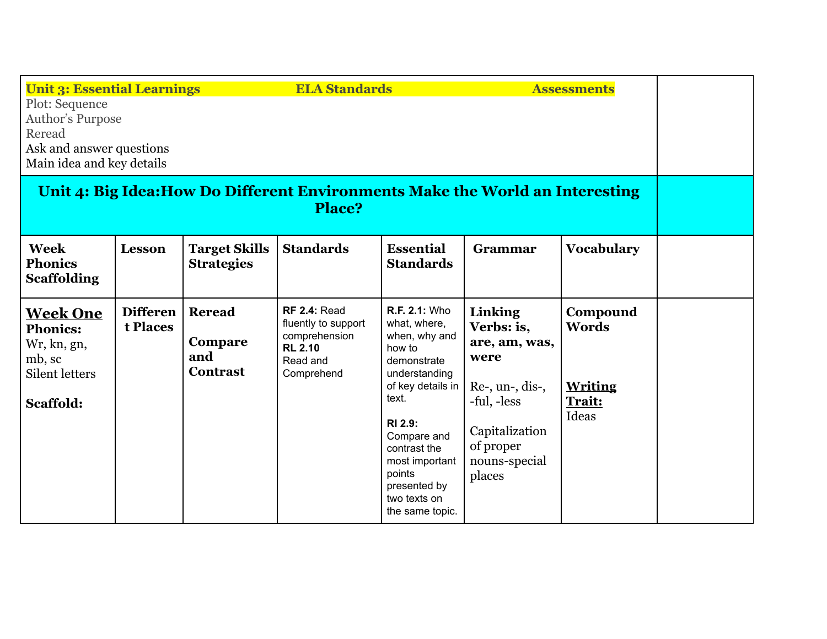| <b>Unit 3: Essential Learnings</b><br><b>ELA Standards</b><br><b>Assessments</b><br>Plot: Sequence<br><b>Author's Purpose</b><br>Reread<br>Ask and answer questions<br>Main idea and key details |                             |                                                    |                                                                                                         |                                                                                                                                                                                                                                                        |                                                                                                                                               |                                                               |  |
|--------------------------------------------------------------------------------------------------------------------------------------------------------------------------------------------------|-----------------------------|----------------------------------------------------|---------------------------------------------------------------------------------------------------------|--------------------------------------------------------------------------------------------------------------------------------------------------------------------------------------------------------------------------------------------------------|-----------------------------------------------------------------------------------------------------------------------------------------------|---------------------------------------------------------------|--|
| Unit 4: Big Idea: How Do Different Environments Make the World an Interesting<br><b>Place?</b>                                                                                                   |                             |                                                    |                                                                                                         |                                                                                                                                                                                                                                                        |                                                                                                                                               |                                                               |  |
| <b>Week</b><br><b>Phonics</b><br><b>Scaffolding</b>                                                                                                                                              | <b>Lesson</b>               | <b>Target Skills</b><br><b>Strategies</b>          | <b>Standards</b>                                                                                        | <b>Essential</b><br><b>Standards</b>                                                                                                                                                                                                                   | Grammar                                                                                                                                       | <b>Vocabulary</b>                                             |  |
| <b>Week One</b><br><b>Phonics:</b><br>Wr, kn, gn,<br>mb, sc<br><b>Silent letters</b><br>Scaffold:                                                                                                | <b>Differen</b><br>t Places | <b>Reread</b><br>Compare<br>and<br><b>Contrast</b> | <b>RF 2.4: Read</b><br>fluently to support<br>comprehension<br><b>RL 2.10</b><br>Read and<br>Comprehend | R.F. 2.1: Who<br>what, where,<br>when, why and<br>how to<br>demonstrate<br>understanding<br>of key details in<br>text.<br><b>RI 2.9:</b><br>Compare and<br>contrast the<br>most important<br>points<br>presented by<br>two texts on<br>the same topic. | Linking<br>Verbs: is,<br>are, am, was,<br>were<br>$Re$ -, un-, dis-,<br>-ful, -less<br>Capitalization<br>of proper<br>nouns-special<br>places | Compound<br><b>Words</b><br><b>Writing</b><br>Trait:<br>Ideas |  |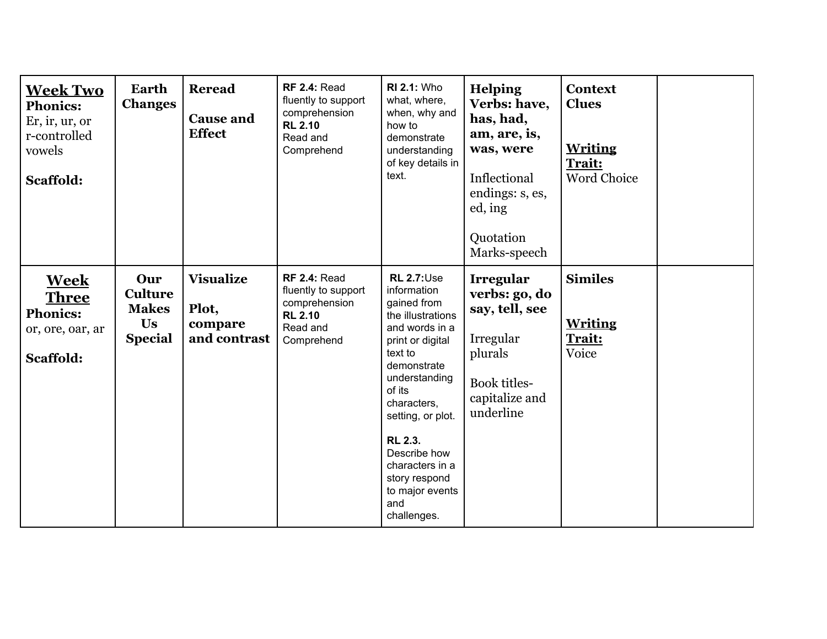| <b>Week Two</b><br><b>Phonics:</b><br>Er, ir, ur, or<br>r-controlled<br>vowels<br>Scaffold: | <b>Earth</b><br><b>Changes</b>                                | <b>Reread</b><br><b>Cause and</b><br><b>Effect</b>   | <b>RF 2.4: Read</b><br>fluently to support<br>comprehension<br><b>RL 2.10</b><br>Read and<br>Comprehend | <b>RI 2.1: Who</b><br>what, where,<br>when, why and<br>how to<br>demonstrate<br>understanding<br>of key details in<br>text.                                                                                                                                                                                         | <b>Helping</b><br>Verbs: have,<br>has, had,<br>am, are, is,<br>was, were<br>Inflectional<br>endings: s, es,<br>ed, ing<br>Quotation<br>Marks-speech | <b>Context</b><br><b>Clues</b><br><b>Writing</b><br>Trait:<br>Word Choice |  |
|---------------------------------------------------------------------------------------------|---------------------------------------------------------------|------------------------------------------------------|---------------------------------------------------------------------------------------------------------|---------------------------------------------------------------------------------------------------------------------------------------------------------------------------------------------------------------------------------------------------------------------------------------------------------------------|-----------------------------------------------------------------------------------------------------------------------------------------------------|---------------------------------------------------------------------------|--|
| <b>Week</b><br><b>Three</b><br><b>Phonics:</b><br>or, ore, oar, ar<br>Scaffold:             | Our<br><b>Culture</b><br><b>Makes</b><br>Us<br><b>Special</b> | <b>Visualize</b><br>Plot,<br>compare<br>and contrast | <b>RF 2.4: Read</b><br>fluently to support<br>comprehension<br><b>RL 2.10</b><br>Read and<br>Comprehend | <b>RL 2.7: Use</b><br>information<br>gained from<br>the illustrations<br>and words in a<br>print or digital<br>text to<br>demonstrate<br>understanding<br>of its<br>characters,<br>setting, or plot.<br><b>RL 2.3.</b><br>Describe how<br>characters in a<br>story respond<br>to major events<br>and<br>challenges. | Irregular<br>verbs: go, do<br>say, tell, see<br>Irregular<br>plurals<br><b>Book titles-</b><br>capitalize and<br>underline                          | <b>Similes</b><br><b>Writing</b><br>Trait:<br>Voice                       |  |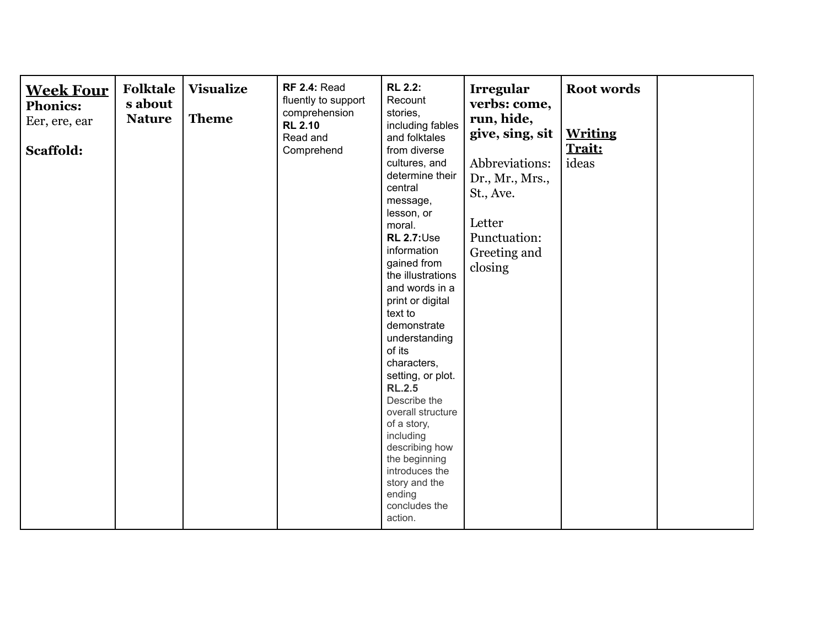| <b>Week Four</b><br><b>Phonics:</b><br>Eer, ere, ear<br>Scaffold: | <b>Folktale</b><br>s about<br><b>Nature</b> | <b>Visualize</b><br><b>Theme</b> | <b>RF 2.4: Read</b><br>fluently to support<br>comprehension<br><b>RL 2.10</b><br>Read and<br>Comprehend | <b>RL 2.2:</b><br>Recount<br>stories,<br>including fables<br>and folktales<br>from diverse<br>cultures, and<br>determine their<br>central<br>message,<br>lesson, or<br>moral.<br><b>RL 2.7: Use</b><br>information<br>gained from<br>the illustrations<br>and words in a<br>print or digital<br>text to<br>demonstrate<br>understanding<br>of its<br>characters,<br>setting, or plot.<br><b>RL.2.5</b><br>Describe the<br>overall structure<br>of a story,<br>including<br>describing how<br>the beginning<br>introduces the<br>story and the<br>ending<br>concludes the<br>action. | Irregular<br>verbs: come,<br>run, hide,<br>give, sing, sit<br>Abbreviations:<br>Dr., Mr., Mrs.,<br>St., Ave.<br>Letter<br>Punctuation:<br>Greeting and<br>closing | <b>Root words</b><br><b>Writing</b><br>Trait:<br>ideas |  |
|-------------------------------------------------------------------|---------------------------------------------|----------------------------------|---------------------------------------------------------------------------------------------------------|-------------------------------------------------------------------------------------------------------------------------------------------------------------------------------------------------------------------------------------------------------------------------------------------------------------------------------------------------------------------------------------------------------------------------------------------------------------------------------------------------------------------------------------------------------------------------------------|-------------------------------------------------------------------------------------------------------------------------------------------------------------------|--------------------------------------------------------|--|
|-------------------------------------------------------------------|---------------------------------------------|----------------------------------|---------------------------------------------------------------------------------------------------------|-------------------------------------------------------------------------------------------------------------------------------------------------------------------------------------------------------------------------------------------------------------------------------------------------------------------------------------------------------------------------------------------------------------------------------------------------------------------------------------------------------------------------------------------------------------------------------------|-------------------------------------------------------------------------------------------------------------------------------------------------------------------|--------------------------------------------------------|--|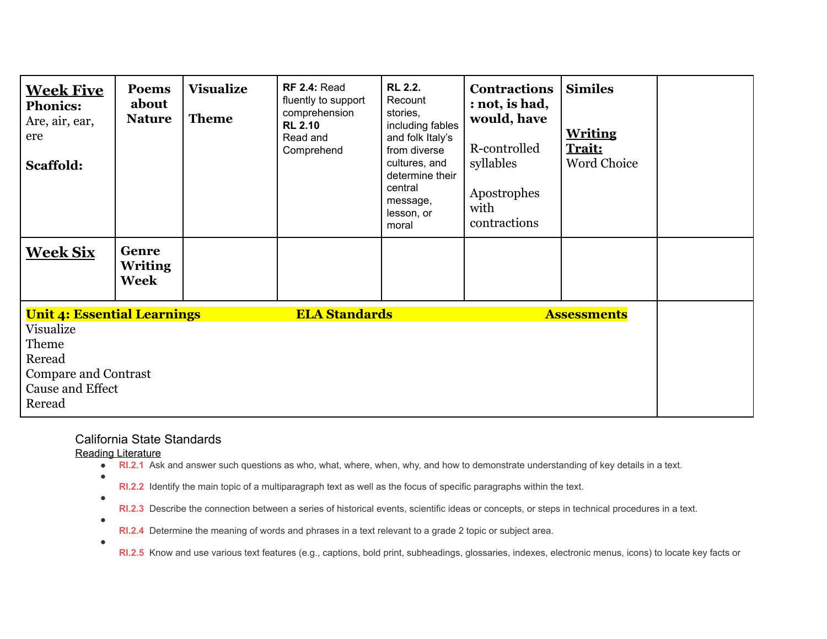| <b>Week Five</b><br><b>Phonics:</b><br>Are, air, ear,<br>ere<br>Scaffold:                                                       | <b>Poems</b><br>about<br><b>Nature</b> | <b>Visualize</b><br><b>Theme</b> | <b>RF 2.4: Read</b><br>fluently to support<br>comprehension<br><b>RL 2.10</b><br>Read and<br>Comprehend | <b>RL 2.2.</b><br>Recount<br>stories,<br>including fables<br>and folk Italy's<br>from diverse<br>cultures, and<br>determine their<br>central<br>message,<br>lesson, or<br>moral | <b>Contractions</b><br>: not, is had,<br>would, have<br>R-controlled<br>syllables<br>Apostrophes<br>with<br>contractions | <b>Similes</b><br><b>Writing</b><br><b>Trait:</b><br><b>Word Choice</b> |  |
|---------------------------------------------------------------------------------------------------------------------------------|----------------------------------------|----------------------------------|---------------------------------------------------------------------------------------------------------|---------------------------------------------------------------------------------------------------------------------------------------------------------------------------------|--------------------------------------------------------------------------------------------------------------------------|-------------------------------------------------------------------------|--|
| <b>Week Six</b>                                                                                                                 | Genre<br><b>Writing</b><br><b>Week</b> |                                  |                                                                                                         |                                                                                                                                                                                 |                                                                                                                          |                                                                         |  |
| <b>Unit 4: Essential Learnings</b><br>Visualize<br>Theme<br>Reread<br><b>Compare and Contrast</b><br>Cause and Effect<br>Reread |                                        |                                  | <b>ELA Standards</b>                                                                                    |                                                                                                                                                                                 |                                                                                                                          | <b>Assessments</b>                                                      |  |

## California State Standards

Reading Literature

- **RI.2.1** Ask and answer such questions as who, what, where, when, why, and how to demonstrate understanding of key details in a text.
- **RI.2.2** Identify the main topic of a multiparagraph text as well as the focus of specific paragraphs within the text.
- ●

 $\bullet$ 

 $\bullet$ 

- **RI.2.3** Describe the connection between a series of historical events, scientific ideas or concepts, or steps in technical procedures in a text.
- $\bullet$ **RI.2.4** Determine the meaning of words and phrases in a text relevant to a grade 2 topic or subject area.
	- **RI.2.5** Know and use various text features (e.g., captions, bold print, subheadings, glossaries, indexes, electronic menus, icons) to locate key facts or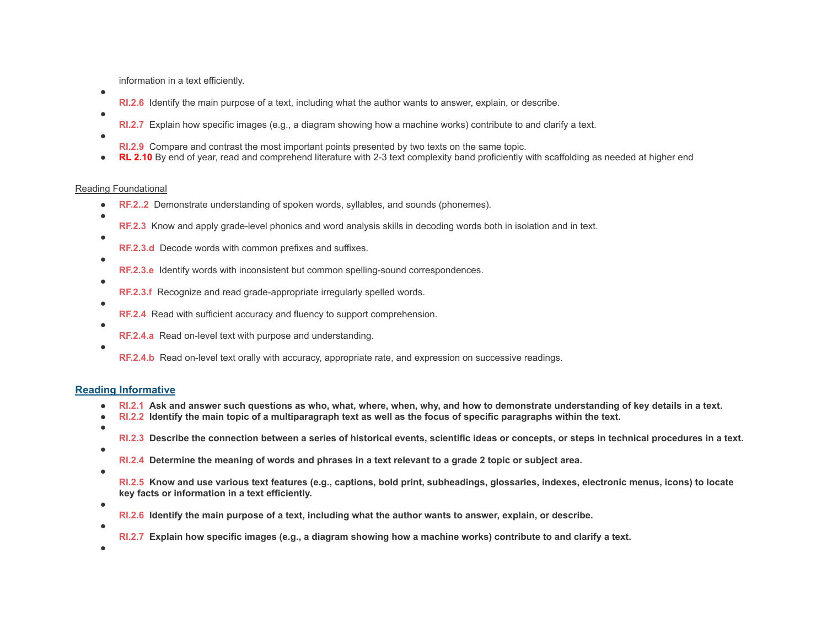information in a text efficiently.

- **RI.2.6** Identify the main purpose of a text, including what the author wants to answer, explain, or describe.
- **RI.2.7** Explain how specific images (e.g., a diagram showing how a machine works) contribute to and clarify a text.
- ●

●

●

- **RI.2.9** Compare and contrast the most important points presented by two texts on the same topic.
- **RL 2.10** By end of year, read and comprehend literature with 2-3 text complexity band proficiently with scaffolding as needed at higher end

### Reading Foundational

- **RF.2..2** Demonstrate understanding of spoken words, syllables, and sounds (phonemes).
- **RF.2.3** Know and apply grade-level phonics and word analysis skills in decoding words both in isolation and in text.
	- **RF.2.3.d** Decode words with common prefixes and suffixes.
- $\bullet$

 $\bullet$ 

●

●

- **RF.2.3.e** Identify words with inconsistent but common spelling-sound correspondences.
- **RF.2.3.f** Recognize and read grade-appropriate irregularly spelled words.
- **RF.2.4** Read with sufficient accuracy and fluency to support comprehension.
- ●

●

**RF.2.4.a** Read on-level text with purpose and understanding.

**RF.2.4.b** Read on-level text orally with accuracy, appropriate rate, and expression on successive readings.

### **Reading Informative**

- **● RI.2.1 Ask and answer such questions as who, what, where, when, why, and how to demonstrate understanding of key details in a text.**
- **● RI.2.2 Identify the main topic of a multiparagraph text as well as the focus of specific paragraphs within the text.**
- **● ●**

**RI.2.3 Describe the connection between a series of historical events, scientific ideas or concepts, or steps in technical procedures in a text.**

- **RI.2.4 Determine the meaning of words and phrases in a text relevant to a grade 2 topic or subject area.**
- **●**

**RI.2.5 Know and use various text features (e.g., captions, bold print, subheadings, glossaries, indexes, electronic menus, icons) to locate key facts or information in a text efficiently.**

- **● ●**
- **RI.2.6 Identify the main purpose of a text, including what the author wants to answer, explain, or describe.**
- **RI.2.7 Explain how specific images (e.g., a diagram showing how a machine works) contribute to and clarify a text.**
- **●**